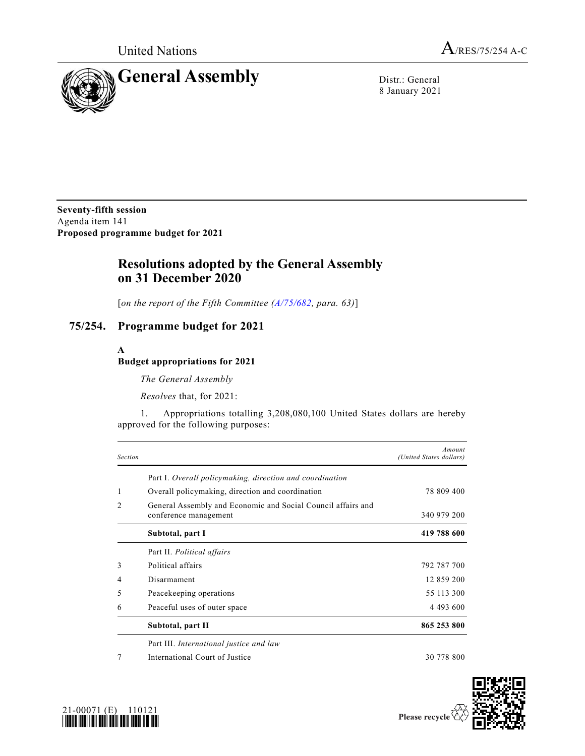

8 January 2021

**Seventy-fifth session** Agenda item 141 **Proposed programme budget for 2021**

# **Resolutions adopted by the General Assembly on 31 December 2020**

[*on the report of the Fifth Committee [\(A/75/682,](https://undocs.org/en/A/75/682) para. 63)*]

# **75/254. Programme budget for 2021**

**A**

### **Budget appropriations for 2021**

*The General Assembly*

*Resolves* that, for 2021:

1. Appropriations totalling 3,208,080,100 United States dollars are hereby approved for the following purposes:

| <b>Section</b> |                                                                                       | Amount<br>(United States dollars) |
|----------------|---------------------------------------------------------------------------------------|-----------------------------------|
|                | Part I. Overall policymaking, direction and coordination                              |                                   |
| 1              | Overall policymaking, direction and coordination                                      | 78 809 400                        |
| 2              | General Assembly and Economic and Social Council affairs and<br>conference management | 340 979 200                       |
|                | Subtotal, part I                                                                      | 419 788 600                       |
|                | Part II. Political affairs                                                            |                                   |
| 3              | Political affairs                                                                     | 792 787 700                       |
| 4              | Disarmament                                                                           | 12 859 200                        |
| 5              | Peacekeeping operations                                                               | 55 113 300                        |
| 6              | Peaceful uses of outer space                                                          | 4 4 9 3 6 0 0                     |
|                | Subtotal, part II                                                                     | 865 253 800                       |
|                | Part III. International justice and law                                               |                                   |
| 7              | International Court of Justice                                                        | 30 778 800                        |



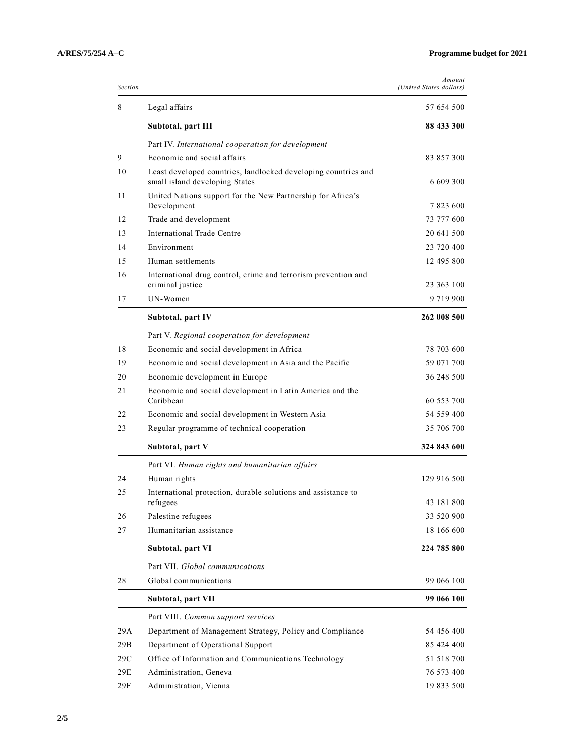| Section |                                                                            | Amount<br>(United States dollars) |
|---------|----------------------------------------------------------------------------|-----------------------------------|
| 8       | Legal affairs                                                              | 57 654 500                        |
|         | Subtotal, part III                                                         | 88 433 300                        |
|         | Part IV. International cooperation for development                         |                                   |
| 9       | Economic and social affairs                                                | 83 857 300                        |
| 10      | Least developed countries, landlocked developing countries and             |                                   |
|         | small island developing States                                             | 6 609 300                         |
| 11      | United Nations support for the New Partnership for Africa's<br>Development | 7823600                           |
| 12      | Trade and development                                                      | 73 777 600                        |
| 13      | International Trade Centre                                                 | 20 641 500                        |
| 14      | Environment                                                                | 23 720 400                        |
| 15      | Human settlements                                                          | 12 495 800                        |
| 16      | International drug control, crime and terrorism prevention and             |                                   |
|         | criminal justice                                                           | 23 363 100                        |
| 17      | <b>UN-Women</b>                                                            | 9 719 900                         |
|         | Subtotal, part IV                                                          | 262 008 500                       |
|         | Part V. Regional cooperation for development                               |                                   |
| 18      | Economic and social development in Africa                                  | 78 703 600                        |
| 19      | Economic and social development in Asia and the Pacific                    | 59 071 700                        |
| 20      | Economic development in Europe                                             | 36 248 500                        |
| 21      | Economic and social development in Latin America and the<br>Caribbean      | 60 553 700                        |
| 22      | Economic and social development in Western Asia                            | 54 559 400                        |
| 23      | Regular programme of technical cooperation                                 | 35 706 700                        |
|         | Subtotal, part V                                                           | 324 843 600                       |
|         | Part VI. Human rights and humanitarian affairs                             |                                   |
| 24      | Human rights                                                               | 129 916 500                       |
| 25      | International protection, durable solutions and assistance to              |                                   |
|         | refugees                                                                   | 43 181 800                        |
| 26      | Palestine refugees                                                         | 33 520 900                        |
| 27      | Humanitarian assistance                                                    | 18 166 600                        |
|         | Subtotal, part VI                                                          | 224 785 800                       |
|         | Part VII. Global communications                                            |                                   |
| 28      | Global communications                                                      | 99 066 100                        |
|         | Subtotal, part VII                                                         | 99 066 100                        |
|         | Part VIII. Common support services                                         |                                   |
| 29A     | Department of Management Strategy, Policy and Compliance                   | 54 456 400                        |
| 29B     | Department of Operational Support                                          | 85 424 400                        |
| 29C     | Office of Information and Communications Technology                        | 51 518 700                        |
| 29E     | Administration, Geneva                                                     | 76 573 400                        |
| 29F     | Administration, Vienna                                                     | 19 833 500                        |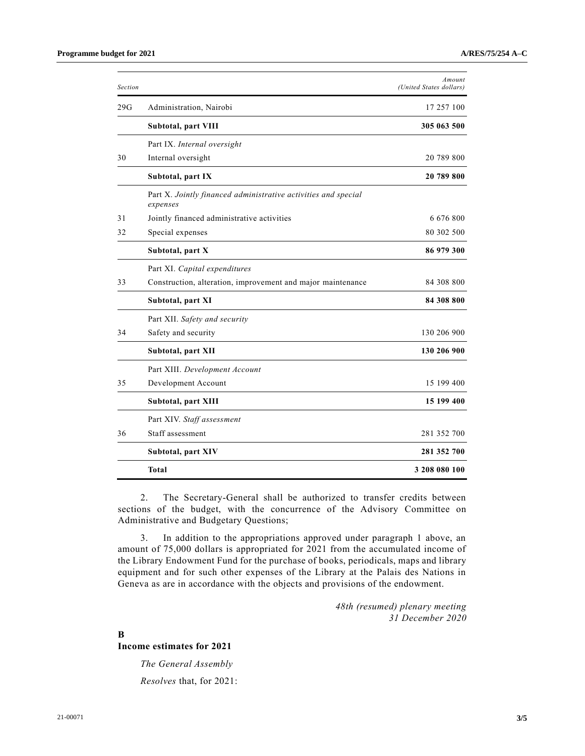| Section |                                                                            | Amount<br>(United States dollars) |
|---------|----------------------------------------------------------------------------|-----------------------------------|
| 29G     | Administration, Nairobi                                                    | 17 257 100                        |
|         | Subtotal, part VIII                                                        | 305 063 500                       |
|         | Part IX. Internal oversight                                                |                                   |
| 30      | Internal oversight                                                         | 20 789 800                        |
|         | Subtotal, part IX                                                          | 20 789 800                        |
|         | Part X. Jointly financed administrative activities and special<br>expenses |                                   |
| 31      | Jointly financed administrative activities                                 | 6 676 800                         |
| 32      | Special expenses                                                           | 80 302 500                        |
|         | Subtotal, part X                                                           | 86 979 300                        |
|         | Part XI. Capital expenditures                                              |                                   |
| 33      | Construction, alteration, improvement and major maintenance                | 84 308 800                        |
|         | Subtotal, part XI                                                          | 84 308 800                        |
|         | Part XII. Safety and security                                              |                                   |
| 34      | Safety and security                                                        | 130 206 900                       |
|         | Subtotal, part XII                                                         | 130 206 900                       |
|         | Part XIII. Development Account                                             |                                   |
| 35      | Development Account                                                        | 15 199 400                        |
|         | Subtotal, part XIII                                                        | 15 199 400                        |
|         | Part XIV. Staff assessment                                                 |                                   |
| 36      | Staff assessment                                                           | 281 352 700                       |
|         | Subtotal, part XIV                                                         | 281 352 700                       |
|         | <b>Total</b>                                                               | 3 208 080 100                     |

2. The Secretary-General shall be authorized to transfer credits between sections of the budget, with the concurrence of the Advisory Committee on Administrative and Budgetary Questions;

3. In addition to the appropriations approved under paragraph 1 above, an amount of 75,000 dollars is appropriated for 2021 from the accumulated income of the Library Endowment Fund for the purchase of books, periodicals, maps and library equipment and for such other expenses of the Library at the Palais des Nations in Geneva as are in accordance with the objects and provisions of the endowment.

> *48th (resumed) plenary meeting 31 December 2020*

### **B**

## **Income estimates for 2021**

*The General Assembly Resolves* that, for 2021: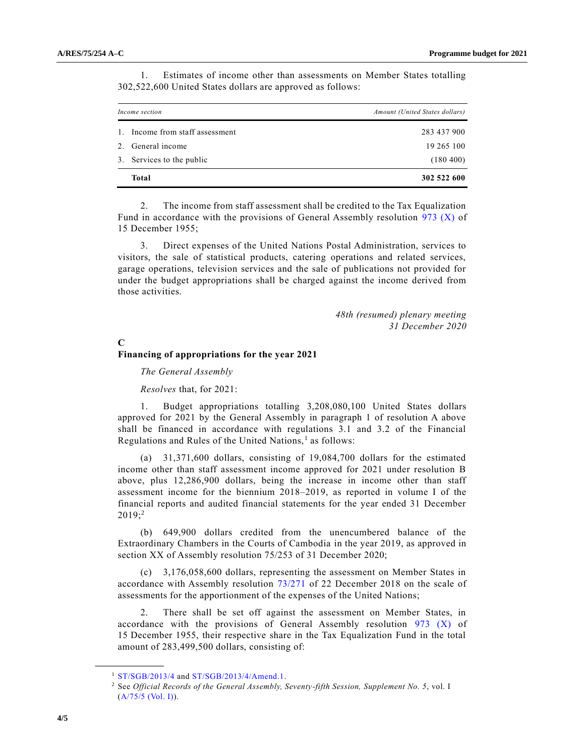| Income section |                                 | Amount (United States dollars) |
|----------------|---------------------------------|--------------------------------|
|                | 1. Income from staff assessment | 283 437 900                    |
|                | 2. General income               | 19 265 100                     |
|                | 3. Services to the public       | (180 400)                      |
|                | Total                           | 302 522 600                    |

1. Estimates of income other than assessments on Member States totalling 302,522,600 United States dollars are approved as follows:

2. The income from staff assessment shall be credited to the Tax Equalization Fund in accordance with the provisions of General Assembly resolution [973 \(X\)](https://undocs.org/en/A/RES/973(X)) of 15 December 1955;

3. Direct expenses of the United Nations Postal Administration, services to visitors, the sale of statistical products, catering operations and related services, garage operations, television services and the sale of publications not provided for under the budget appropriations shall be charged against the income derived from those activities.

> *48th (resumed) plenary meeting 31 December 2020*

#### **C**

#### **Financing of appropriations for the year 2021**

*The General Assembly*

*Resolves* that, for 2021:

1. Budget appropriations totalling 3,208,080,100 United States dollars approved for 2021 by the General Assembly in paragraph 1 of resolution A above shall be financed in accordance with regulations 3.1 and 3.2 of the Financial Regulations and Rules of the United Nations,<sup>1</sup> as follows:

(a) 31,371,600 dollars, consisting of 19,084,700 dollars for the estimated income other than staff assessment income approved for 2021 under resolution B above, plus 12,286,900 dollars, being the increase in income other than staff assessment income for the biennium 2018–2019, as reported in volume I of the financial reports and audited financial statements for the year ended 31 December  $2019$ ;<sup>2</sup>

(b) 649,900 dollars credited from the unencumbered balance of the Extraordinary Chambers in the Courts of Cambodia in the year 2019, as approved in section XX of Assembly resolution 75/253 of 31 December 2020;

(c) 3,176,058,600 dollars, representing the assessment on Member States in accordance with Assembly resolution [73/271](https://undocs.org/en/A/RES/73/271) of 22 December 2018 on the scale of assessments for the apportionment of the expenses of the United Nations;

2. There shall be set off against the assessment on Member States, in accordance with the provisions of General Assembly resolution  $973$  (X) of 15 December 1955, their respective share in the Tax Equalization Fund in the total amount of 283,499,500 dollars, consisting of:

**\_\_\_\_\_\_\_\_\_\_\_\_\_\_\_\_\_\_**

<sup>1</sup> [ST/SGB/2013/4](https://undocs.org/en/ST/SGB/2013/4) and [ST/SGB/2013/4/Amend.1.](https://undocs.org/en/ST/SGB/2013/4/Amend.1)

<sup>2</sup> See *Official Records of the General Assembly, Seventy-fifth Session, Supplement No. 5*, vol. I [\(A/75/5 \(Vol. I\)\)](https://undocs.org/en/A/75/5(Vol.I)).